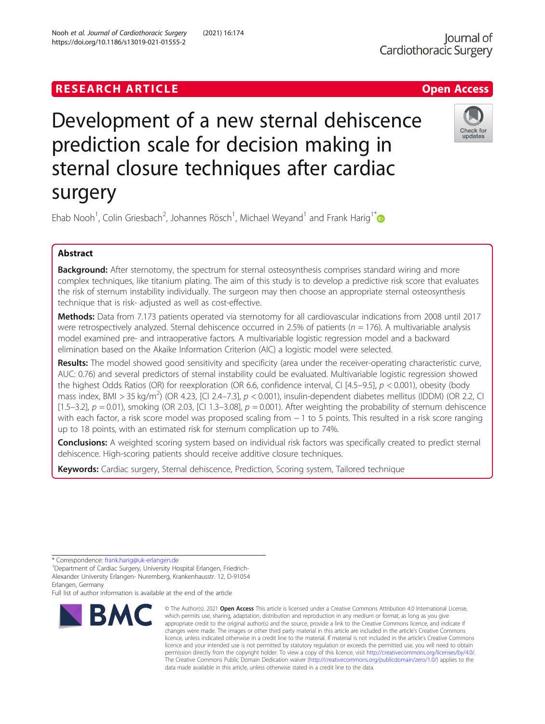# Development of a new sternal dehiscence prediction scale for decision making in sternal closure techniques after cardiac surgery



Ehab Nooh<sup>1</sup>, Colin Griesbach<sup>2</sup>, Johannes Rösch<sup>1</sup>, Michael Weyand<sup>1</sup> and Frank Harig<sup>1\*</sup>

# Abstract

**Background:** After sternotomy, the spectrum for sternal osteosynthesis comprises standard wiring and more complex techniques, like titanium plating. The aim of this study is to develop a predictive risk score that evaluates the risk of sternum instability individually. The surgeon may then choose an appropriate sternal osteosynthesis technique that is risk- adjusted as well as cost-effective.

Methods: Data from 7.173 patients operated via sternotomy for all cardiovascular indications from 2008 until 2017 were retrospectively analyzed. Sternal dehiscence occurred in 2.5% of patients ( $n = 176$ ). A multivariable analysis model examined pre- and intraoperative factors. A multivariable logistic regression model and a backward elimination based on the Akaike Information Criterion (AIC) a logistic model were selected.

Results: The model showed good sensitivity and specificity (area under the receiver-operating characteristic curve, AUC: 0.76) and several predictors of sternal instability could be evaluated. Multivariable logistic regression showed the highest Odds Ratios (OR) for reexploration (OR 6.6, confidence interval, CI [4.5–9.5], p < 0.001), obesity (body mass index, BMI > 35 kg/m<sup>2</sup>) (OR 4.23, [CI 2.4–7.3],  $p < 0.001$ ), insulin-dependent diabetes mellitus (IDDM) (OR 2.2, CI [1.5–3.2],  $p = 0.01$ ), smoking (OR 2.03, [CI 1.3–3.08],  $p = 0.001$ ). After weighting the probability of sternum dehiscence with each factor, a risk score model was proposed scaling from − 1 to 5 points. This resulted in a risk score ranging up to 18 points, with an estimated risk for sternum complication up to 74%.

**Conclusions:** A weighted scoring system based on individual risk factors was specifically created to predict sternal dehiscence. High-scoring patients should receive additive closure techniques.

Keywords: Cardiac surgery, Sternal dehiscence, Prediction, Scoring system, Tailored technique

Full list of author information is available at the end of the article



<sup>©</sup> The Author(s), 2021 **Open Access** This article is licensed under a Creative Commons Attribution 4.0 International License, which permits use, sharing, adaptation, distribution and reproduction in any medium or format, as long as you give appropriate credit to the original author(s) and the source, provide a link to the Creative Commons licence, and indicate if changes were made. The images or other third party material in this article are included in the article's Creative Commons licence, unless indicated otherwise in a credit line to the material. If material is not included in the article's Creative Commons licence and your intended use is not permitted by statutory regulation or exceeds the permitted use, you will need to obtain permission directly from the copyright holder. To view a copy of this licence, visit [http://creativecommons.org/licenses/by/4.0/.](http://creativecommons.org/licenses/by/4.0/) The Creative Commons Public Domain Dedication waiver [\(http://creativecommons.org/publicdomain/zero/1.0/](http://creativecommons.org/publicdomain/zero/1.0/)) applies to the data made available in this article, unless otherwise stated in a credit line to the data.

<sup>\*</sup> Correspondence: [frank.harig@uk-erlangen.de](mailto:frank.harig@uk-erlangen.de) <sup>1</sup>

<sup>&</sup>lt;sup>1</sup>Department of Cardiac Surgery, University Hospital Erlangen, Friedrich-Alexander University Erlangen- Nuremberg, Krankenhausstr. 12, D-91054 Erlangen, Germany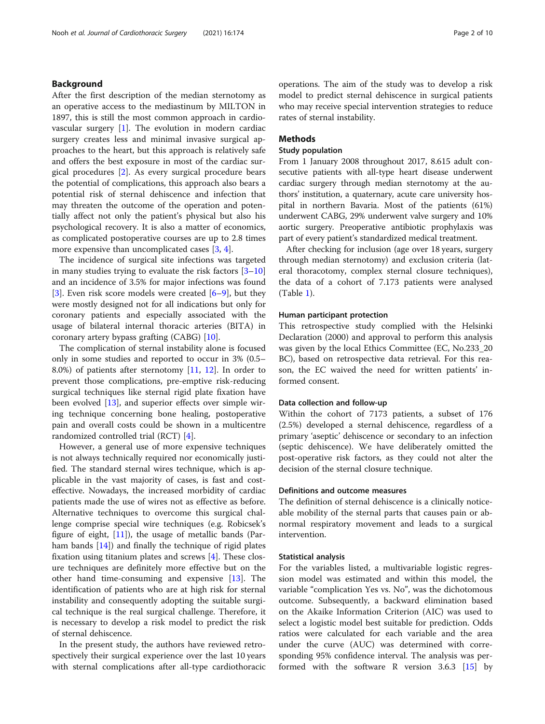# Background

After the first description of the median sternotomy as an operative access to the mediastinum by MILTON in 1897, this is still the most common approach in cardiovascular surgery [[1](#page-9-0)]. The evolution in modern cardiac surgery creates less and minimal invasive surgical approaches to the heart, but this approach is relatively safe and offers the best exposure in most of the cardiac surgical procedures [\[2](#page-9-0)]. As every surgical procedure bears the potential of complications, this approach also bears a potential risk of sternal dehiscence and infection that may threaten the outcome of the operation and potentially affect not only the patient's physical but also his psychological recovery. It is also a matter of economics, as complicated postoperative courses are up to 2.8 times more expensive than uncomplicated cases [[3,](#page-9-0) [4\]](#page-9-0).

The incidence of surgical site infections was targeted in many studies trying to evaluate the risk factors [[3](#page-9-0)–[10](#page-9-0)] and an incidence of 3.5% for major infections was found [[3\]](#page-9-0). Even risk score models were created  $[6-9]$  $[6-9]$  $[6-9]$  $[6-9]$  $[6-9]$ , but they were mostly designed not for all indications but only for coronary patients and especially associated with the usage of bilateral internal thoracic arteries (BITA) in coronary artery bypass grafting (CABG) [[10\]](#page-9-0).

The complication of sternal instability alone is focused only in some studies and reported to occur in 3% (0.5– 8.0%) of patients after sternotomy [[11,](#page-9-0) [12\]](#page-9-0). In order to prevent those complications, pre-emptive risk-reducing surgical techniques like sternal rigid plate fixation have been evolved [\[13](#page-9-0)], and superior effects over simple wiring technique concerning bone healing, postoperative pain and overall costs could be shown in a multicentre randomized controlled trial (RCT) [[4\]](#page-9-0).

However, a general use of more expensive techniques is not always technically required nor economically justified. The standard sternal wires technique, which is applicable in the vast majority of cases, is fast and costeffective. Nowadays, the increased morbidity of cardiac patients made the use of wires not as effective as before. Alternative techniques to overcome this surgical challenge comprise special wire techniques (e.g. Robicsek's figure of eight,  $[11]$  $[11]$  $[11]$ , the usage of metallic bands (Parham bands [\[14](#page-9-0)]) and finally the technique of rigid plates fixation using titanium plates and screws [[4](#page-9-0)]. These closure techniques are definitely more effective but on the other hand time-consuming and expensive [\[13\]](#page-9-0). The identification of patients who are at high risk for sternal instability and consequently adopting the suitable surgical technique is the real surgical challenge. Therefore, it is necessary to develop a risk model to predict the risk of sternal dehiscence.

In the present study, the authors have reviewed retrospectively their surgical experience over the last 10 years with sternal complications after all-type cardiothoracic operations. The aim of the study was to develop a risk model to predict sternal dehiscence in surgical patients who may receive special intervention strategies to reduce rates of sternal instability.

# **Methods**

# Study population

From 1 January 2008 throughout 2017, 8.615 adult consecutive patients with all-type heart disease underwent cardiac surgery through median sternotomy at the authors' institution, a quaternary, acute care university hospital in northern Bavaria. Most of the patients (61%) underwent CABG, 29% underwent valve surgery and 10% aortic surgery. Preoperative antibiotic prophylaxis was part of every patient's standardized medical treatment.

After checking for inclusion (age over 18 years, surgery through median sternotomy) and exclusion criteria (lateral thoracotomy, complex sternal closure techniques), the data of a cohort of 7.173 patients were analysed (Table [1\)](#page-2-0).

### Human participant protection

This retrospective study complied with the Helsinki Declaration (2000) and approval to perform this analysis was given by the local Ethics Committee (EC, No.233\_20 BC), based on retrospective data retrieval. For this reason, the EC waived the need for written patients' informed consent.

#### Data collection and follow-up

Within the cohort of 7173 patients, a subset of 176 (2.5%) developed a sternal dehiscence, regardless of a primary 'aseptic' dehiscence or secondary to an infection (septic dehiscence). We have deliberately omitted the post-operative risk factors, as they could not alter the decision of the sternal closure technique.

## Definitions and outcome measures

The definition of sternal dehiscence is a clinically noticeable mobility of the sternal parts that causes pain or abnormal respiratory movement and leads to a surgical intervention.

### Statistical analysis

For the variables listed, a multivariable logistic regression model was estimated and within this model, the variable "complication Yes vs. No", was the dichotomous outcome. Subsequently, a backward elimination based on the Akaike Information Criterion (AIC) was used to select a logistic model best suitable for prediction. Odds ratios were calculated for each variable and the area under the curve (AUC) was determined with corresponding 95% confidence interval. The analysis was performed with the software R version 3.6.3 [[15\]](#page-9-0) by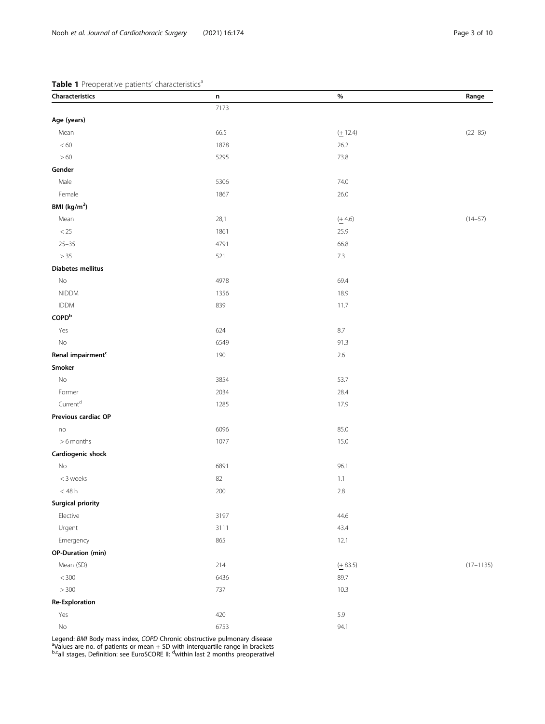# <span id="page-2-0"></span>Table 1 Preoperative patients' characteristics<sup>a</sup>

| Characteristics               | n    | $\%$        | Range         |
|-------------------------------|------|-------------|---------------|
|                               | 7173 |             |               |
| Age (years)                   |      |             |               |
| Mean                          | 66.5 | $(+ 12.4)$  | $(22 - 85)$   |
| $< 60\,$                      | 1878 | 26.2        |               |
| $>60$                         | 5295 | 73.8        |               |
| Gender                        |      |             |               |
| Male                          | 5306 | 74.0        |               |
| Female                        | 1867 | 26.0        |               |
| BMI (kg/m <sup>2</sup> )      |      |             |               |
| Mean                          | 28,1 | $(+ 4.6)$   | $(14 - 57)$   |
| $<25\,$                       | 1861 | 25.9        |               |
| $25 - 35$                     | 4791 | 66.8        |               |
| > 35                          | 521  | $7.3\,$     |               |
| <b>Diabetes mellitus</b>      |      |             |               |
| No                            | 4978 | 69.4        |               |
| <b>NIDDM</b>                  | 1356 | 18.9        |               |
| <b>IDDM</b>                   | 839  | 11.7        |               |
| $\mathsf{COPD}^\mathsf{b}$    |      |             |               |
| Yes                           | 624  | $8.7\,$     |               |
| $\rm No$                      | 6549 | 91.3        |               |
| Renal impairment <sup>c</sup> | 190  | $2.6\,$     |               |
| Smoker                        |      |             |               |
| $\rm No$                      | 3854 | 53.7        |               |
| Former                        | 2034 | 28.4        |               |
| Current <sup>d</sup>          | 1285 | 17.9        |               |
| Previous cardiac OP           |      |             |               |
| no                            | 6096 | 85.0        |               |
| >6 months                     | 1077 | 15.0        |               |
| Cardiogenic shock             |      |             |               |
| No                            | 6891 | 96.1        |               |
| < 3 weeks                     | 82   | 1.1         |               |
| $<48\,\rm{h}$                 | 200  | $2.8\,$     |               |
| <b>Surgical priority</b>      |      |             |               |
| Elective                      | 3197 | 44.6        |               |
| Urgent                        | 3111 | 43.4        |               |
| Emergency                     | 865  | 12.1        |               |
| <b>OP-Duration (min)</b>      |      |             |               |
| Mean (SD)                     | 214  | $( + 83.5)$ | $(17 - 1135)$ |
| $<$ 300                       | 6436 | 89.7        |               |
| $>300\,$                      | 737  | 10.3        |               |
| <b>Re-Exploration</b>         |      |             |               |
| Yes                           | 420  | 5.9         |               |
| $\rm No$                      | 6753 | 94.1        |               |

Legend: *BMI* Body mass index, COPD Chronic obstructive pulmonary disease<br><sup>a</sup>Values are no. of patients or mean + SD with interquartile range in brackets<br><sup>b.c</sup>all stages, Definition: see EuroSCORE II; <sup>d</sup>within last 2 mont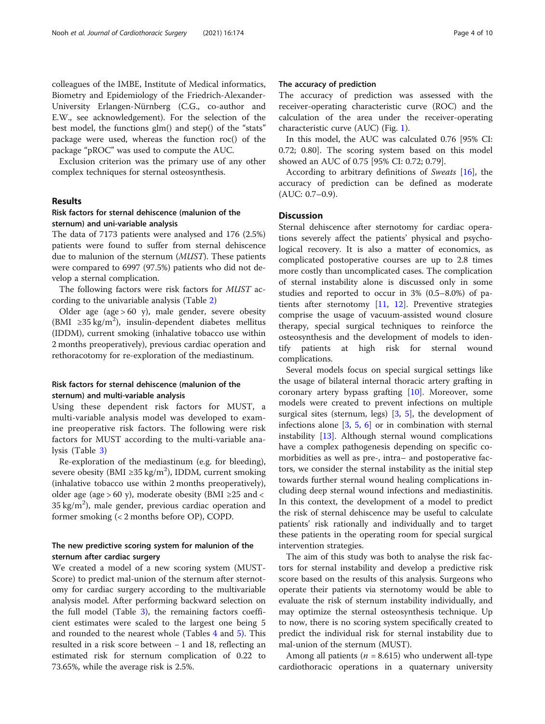colleagues of the IMBE, Institute of Medical informatics, Biometry and Epidemiology of the Friedrich-Alexander-University Erlangen-Nürnberg (C.G., co-author and E.W., see acknowledgement). For the selection of the best model, the functions glm() and step() of the "stats" package were used, whereas the function roc() of the package "pROC" was used to compute the AUC.

Exclusion criterion was the primary use of any other complex techniques for sternal osteosynthesis.

# Results

# Risk factors for sternal dehiscence (malunion of the sternum) and uni-variable analysis

The data of 7173 patients were analysed and 176 (2.5%) patients were found to suffer from sternal dehiscence due to malunion of the sternum (MUST). These patients were compared to 6997 (97.5%) patients who did not develop a sternal complication.

The following factors were risk factors for MUST according to the univariable analysis (Table [2\)](#page-4-0)

Older age (age  $> 60$  y), male gender, severe obesity (BMI ≥35 kg/m<sup>2</sup>), insulin-dependent diabetes mellitus (IDDM), current smoking (inhalative tobacco use within 2 months preoperatively), previous cardiac operation and rethoracotomy for re-exploration of the mediastinum.

# Risk factors for sternal dehiscence (malunion of the sternum) and multi-variable analysis

Using these dependent risk factors for MUST, a multi-variable analysis model was developed to examine preoperative risk factors. The following were risk factors for MUST according to the multi-variable analysis (Table [3\)](#page-5-0)

Re-exploration of the mediastinum (e.g. for bleeding), severe obesity (BMI ≥35 kg/m<sup>2</sup>), IDDM, current smoking (inhalative tobacco use within 2 months preoperatively), older age (age > 60 y), moderate obesity (BMI ≥25 and <  $35 \text{ kg/m}^2$ ), male gender, previous cardiac operation and former smoking (< 2 months before OP), COPD.

# The new predictive scoring system for malunion of the sternum after cardiac surgery

We created a model of a new scoring system (MUST-Score) to predict mal-union of the sternum after sternotomy for cardiac surgery according to the multivariable analysis model. After performing backward selection on the full model (Table [3\)](#page-5-0), the remaining factors coefficient estimates were scaled to the largest one being 5 and rounded to the nearest whole (Tables [4](#page-5-0) and [5\)](#page-6-0). This resulted in a risk score between − 1 and 18, reflecting an estimated risk for sternum complication of 0.22 to 73.65%, while the average risk is 2.5%.

# The accuracy of prediction

The accuracy of prediction was assessed with the receiver-operating characteristic curve (ROC) and the calculation of the area under the receiver-operating characteristic curve (AUC) (Fig. [1\)](#page-6-0).

In this model, the AUC was calculated 0.76 [95% CI: 0.72; 0.80]. The scoring system based on this model showed an AUC of 0.75 [95% CI: 0.72; 0.79].

According to arbitrary definitions of Sweats [\[16](#page-9-0)], the accuracy of prediction can be defined as moderate (AUC: 0.7–0.9).

# **Discussion**

Sternal dehiscence after sternotomy for cardiac operations severely affect the patients' physical and psychological recovery. It is also a matter of economics, as complicated postoperative courses are up to 2.8 times more costly than uncomplicated cases. The complication of sternal instability alone is discussed only in some studies and reported to occur in 3% (0.5–8.0%) of patients after sternotomy [\[11,](#page-9-0) [12\]](#page-9-0). Preventive strategies comprise the usage of vacuum-assisted wound closure therapy, special surgical techniques to reinforce the osteosynthesis and the development of models to identify patients at high risk for sternal wound complications.

Several models focus on special surgical settings like the usage of bilateral internal thoracic artery grafting in coronary artery bypass grafting [[10](#page-9-0)]. Moreover, some models were created to prevent infections on multiple surgical sites (sternum, legs) [\[3](#page-9-0), [5](#page-9-0)], the development of infections alone  $\begin{bmatrix} 3, 5, 6 \end{bmatrix}$  $\begin{bmatrix} 3, 5, 6 \end{bmatrix}$  $\begin{bmatrix} 3, 5, 6 \end{bmatrix}$  $\begin{bmatrix} 3, 5, 6 \end{bmatrix}$  $\begin{bmatrix} 3, 5, 6 \end{bmatrix}$  $\begin{bmatrix} 3, 5, 6 \end{bmatrix}$  $\begin{bmatrix} 3, 5, 6 \end{bmatrix}$  or in combination with sternal instability [[13](#page-9-0)]. Although sternal wound complications have a complex pathogenesis depending on specific comorbidities as well as pre-, intra– and postoperative factors, we consider the sternal instability as the initial step towards further sternal wound healing complications including deep sternal wound infections and mediastinitis. In this context, the development of a model to predict the risk of sternal dehiscence may be useful to calculate patients' risk rationally and individually and to target these patients in the operating room for special surgical intervention strategies.

The aim of this study was both to analyse the risk factors for sternal instability and develop a predictive risk score based on the results of this analysis. Surgeons who operate their patients via sternotomy would be able to evaluate the risk of sternum instability individually, and may optimize the sternal osteosynthesis technique. Up to now, there is no scoring system specifically created to predict the individual risk for sternal instability due to mal-union of the sternum (MUST).

Among all patients ( $n = 8.615$ ) who underwent all-type cardiothoracic operations in a quaternary university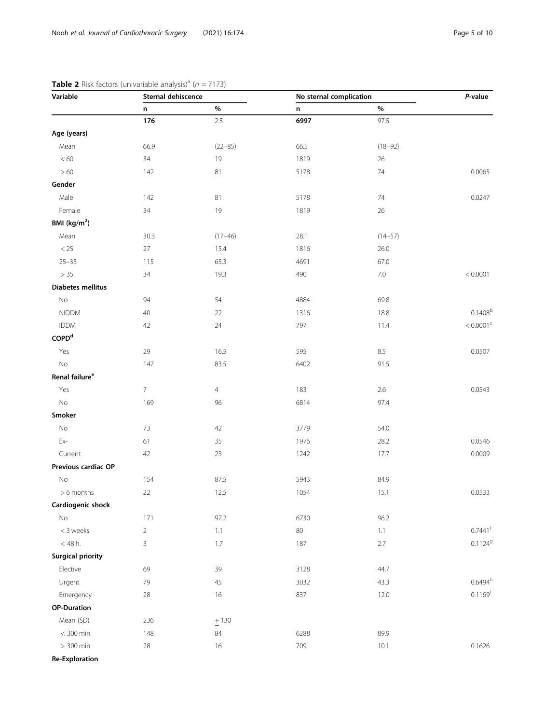| Variable                   | Sternal dehiscence |                | No sternal complication | P-value     |                         |
|----------------------------|--------------------|----------------|-------------------------|-------------|-------------------------|
|                            | n                  | $\%$           | $\mathsf n$             | $\%$        |                         |
|                            | 176                | 2.5            | 6997                    | 97.5        |                         |
| Age (years)                |                    |                |                         |             |                         |
| Mean                       | 66.9               | $(22 - 85)$    | 66.5                    | $(18 - 92)$ |                         |
| $< 60\,$                   | 34                 | 19             | 1819                    | 26          |                         |
| $>60$                      | 142                | 81             | 5178                    | 74          | 0.0065                  |
| Gender                     |                    |                |                         |             |                         |
| Male                       | 142                | 81             | 5178                    | 74          | 0.0247                  |
| Female                     | 34                 | 19             | 1819                    | $26\,$      |                         |
| BMI (kg/m <sup>2</sup> )   |                    |                |                         |             |                         |
| Mean                       | 30.3               | $(17 - 46)$    | 28.1                    | $(14 - 57)$ |                         |
| $<25\,$                    | $27\,$             | 15.4           | 1816                    | 26.0        |                         |
| $25 - 35$                  | 115                | 65.3           | 4691                    | 67.0        |                         |
| $>35$                      | 34                 | 19.3           | 490                     | $7.0\,$     | < 0.0001                |
| <b>Diabetes mellitus</b>   |                    |                |                         |             |                         |
| $\mathsf{No}$              | 94                 | 54             | 4884                    | 69.8        |                         |
| <b>NIDDM</b>               | 40                 | 22             | 1316                    | 18.8        | 0.1408 <sup>b</sup>     |
| <b>IDDM</b>                | 42                 | 24             | 797                     | 11.4        | $< 0.0001$ <sup>c</sup> |
| $\mathsf{COPD}^\mathsf{d}$ |                    |                |                         |             |                         |
| Yes                        | 29                 | 16.5           | 595                     | $8.5\,$     | 0.0507                  |
| No                         | 147                | 83.5           | 6402                    | 91.5        |                         |
| Renal failure <sup>e</sup> |                    |                |                         |             |                         |
| Yes                        | $\overline{7}$     | $\overline{4}$ | 183                     | 2.6         | 0.0543                  |
| $\rm No$                   | 169                | 96             | 6814                    | 97.4        |                         |
| Smoker                     |                    |                |                         |             |                         |
| No                         | 73                 | 42             | 3779                    | 54.0        |                         |
| Ex-                        | 61                 | 35             | 1976                    | 28.2        | 0.0546                  |
| Current                    | 42                 | 23             | 1242                    | 17.7        | 0.0009                  |
| Previous cardiac OP        |                    |                |                         |             |                         |
| No                         | 154                | 87.5           | 5943                    | 84.9        |                         |
| >6 months                  | $22\,$             | 12.5           | 1054                    | 15.1        | 0.0533                  |
| Cardiogenic shock          |                    |                |                         |             |                         |
| No                         | 171                | 97.2           | 6730                    | 96.2        |                         |
| < 3 weeks                  | $\sqrt{2}$         | 1.1            | 80                      | 1.1         | $0.7441$ <sup>f</sup>   |
| $<$ 48 h.                  | $\mathsf{3}$       | 1.7            | 187                     | 2.7         | 0.11249                 |
| <b>Surgical priority</b>   |                    |                |                         |             |                         |
| Elective                   | 69                 | 39             | 3128                    | 44.7        |                         |
| Urgent                     | 79                 | 45             | 3032                    | 43.3        | $0.6494^h$              |
| Emergency                  | $28\,$             | 16             | 837                     | 12.0        | $0.1169^{i}$            |
| <b>OP-Duration</b>         |                    |                |                         |             |                         |
| Mean (SD)                  | 236                | $+130$         |                         |             |                         |
| $< 300$ min                |                    | 84             | 6288                    | 89.9        |                         |
|                            | 148                |                |                         |             |                         |

# <span id="page-4-0"></span>**Table 2** Risk factors (univariable analysis)<sup>a</sup> ( $n = 7173$ )

Re-Exploration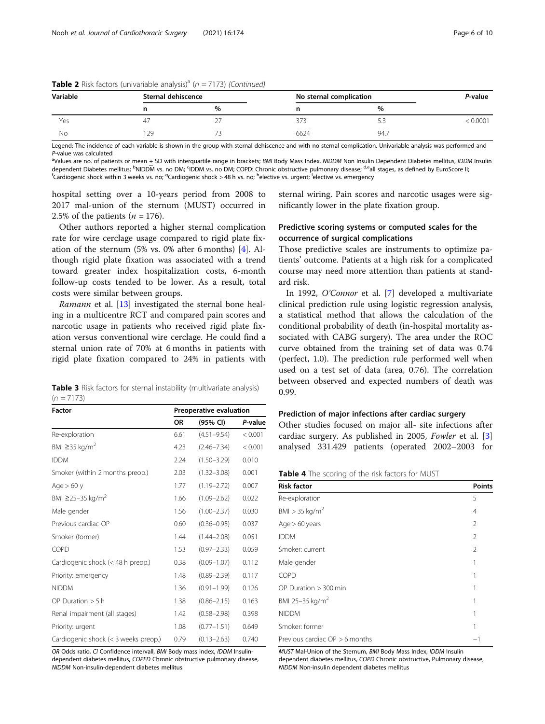| Variable | Sternal dehiscence |      | No sternal complication |      | P-value |
|----------|--------------------|------|-------------------------|------|---------|
|          |                    | $\%$ |                         | %    |         |
| Yes      |                    |      |                         |      | 0.0001  |
| No       | 129                |      | 6624                    | 94.7 |         |

<span id="page-5-0"></span>**Table 2** Risk factors (univariable analysis)<sup>a</sup> ( $n = 7173$ ) (Continued)

Legend: The incidence of each variable is shown in the group with sternal dehiscence and with no sternal complication. Univariable analysis was performed and P-value was calculated

<sup>a</sup>Values are no. of patients or mean + SD with interquartile range in brackets; BMI Body Mass Index, NIDDM Non Insulin Dependent Diabetes mellitus, IDDM Insulin dependent Diabetes mellitus; <sup>b</sup>NIDDM vs. no DM; <sup>c</sup>IDDM vs. no DM; COPD: Chronic obstructive pulmonary disease; <sup>d,e</sup>all stages, as defined by EuroScore II;<br><sup>f</sup>Cardiogenic shock within 3 weeks vs. no: <sup>9</sup>Cardiogenic shock Cardiogenic shock within 3 weeks vs. no; <sup>g</sup>Cardiogenic shock > 48 h vs. no; <sup>h</sup>elective vs. urgent; <sup>l</sup>elective vs. emergency

hospital setting over a 10-years period from 2008 to 2017 mal-union of the sternum (MUST) occurred in 2.5% of the patients  $(n = 176)$ .

Other authors reported a higher sternal complication rate for wire cerclage usage compared to rigid plate fixation of the sternum (5% vs. 0% after 6 months) [[4\]](#page-9-0). Although rigid plate fixation was associated with a trend toward greater index hospitalization costs, 6-month follow-up costs tended to be lower. As a result, total costs were similar between groups.

Ramann et al. [\[13](#page-9-0)] investigated the sternal bone healing in a multicentre RCT and compared pain scores and narcotic usage in patients who received rigid plate fixation versus conventional wire cerclage. He could find a sternal union rate of 70% at 6 months in patients with rigid plate fixation compared to 24% in patients with

|              |  |  |  | <b>Table 3</b> Risk factors for sternal instability (multivariate analysis) |  |
|--------------|--|--|--|-----------------------------------------------------------------------------|--|
| $(n = 7173)$ |  |  |  |                                                                             |  |

| <b>Factor</b>                        | Preoperative evaluation |                 |         |
|--------------------------------------|-------------------------|-----------------|---------|
|                                      | ΟR                      | (95% CI)        | P-value |
| Re-exploration                       | 6.61                    | $(4.51 - 9.54)$ | < 0.001 |
| BMI $\geq$ 35 kg/m <sup>2</sup>      | 4.23                    | $(2.46 - 7.34)$ | < 0.001 |
| <b>IDDM</b>                          | 2.24                    | $(1.50 - 3.29)$ | 0.010   |
| Smoker (within 2 months preop.)      | 2.03                    | $(1.32 - 3.08)$ | 0.001   |
| Age $> 60$ y                         | 1.77                    | $(1.19 - 2.72)$ | 0.007   |
| BMI ≥25–35 kg/m <sup>2</sup>         | 1.66                    | $(1.09 - 2.62)$ | 0.022   |
| Male gender                          | 1.56                    | $(1.00 - 2.37)$ | 0.030   |
| Previous cardiac OP                  | 0.60                    | $(0.36 - 0.95)$ | 0.037   |
| Smoker (former)                      | 1.44                    | $(1.44 - 2.08)$ | 0.051   |
| COPD                                 | 1.53                    | $(0.97 - 2.33)$ | 0.059   |
| Cardiogenic shock (< 48 h preop.)    | 0.38                    | $(0.09 - 1.07)$ | 0.112   |
| Priority: emergency                  | 1.48                    | $(0.89 - 2.39)$ | 0.117   |
| <b>NIDDM</b>                         | 1.36                    | $(0.91 - 1.99)$ | 0.126   |
| OP Duration $> 5 h$                  | 1.38                    | $(0.86 - 2.15)$ | 0.163   |
| Renal impairment (all stages)        | 1.42                    | $(0.58 - 2.98)$ | 0.398   |
| Priority: urgent                     | 1.08                    | $(0.77 - 1.51)$ | 0.649   |
| Cardiogenic shock (< 3 weeks preop.) | 0.79                    | $(0.13 - 2.63)$ | 0.740   |

OR Odds ratio, CI Confidence intervall, BMI Body mass index, IDDM Insulindependent diabetes mellitus, COPED Chronic obstructive pulmonary disease, NIDDM Non-insulin-dependent diabetes mellitus

sternal wiring. Pain scores and narcotic usages were significantly lower in the plate fixation group.

# Predictive scoring systems or computed scales for the occurrence of surgical complications

Those predictive scales are instruments to optimize patients' outcome. Patients at a high risk for a complicated course may need more attention than patients at standard risk.

In 1992, O'Connor et al. [\[7](#page-9-0)] developed a multivariate clinical prediction rule using logistic regression analysis, a statistical method that allows the calculation of the conditional probability of death (in-hospital mortality associated with CABG surgery). The area under the ROC curve obtained from the training set of data was 0.74 (perfect, 1.0). The prediction rule performed well when used on a test set of data (area, 0.76). The correlation between observed and expected numbers of death was 0.99.

# Prediction of major infections after cardiac surgery

Other studies focused on major all- site infections after cardiac surgery. As published in 2005, Fowler et al. [\[3](#page-9-0)] analysed 331.429 patients (operated 2002–2003 for

Table 4 The scoring of the risk factors for MUST

| <b>Risk factor</b>               | <b>Points</b>  |
|----------------------------------|----------------|
| Re-exploration                   | 5              |
| $BMI > 35$ kg/m <sup>2</sup>     | $\overline{4}$ |
| Age > 60 years                   | 2              |
| <b>IDDM</b>                      | 2              |
| Smoker: current                  | 2              |
| Male gender                      | 1              |
| <b>COPD</b>                      | 1              |
| OP Duration $> 300$ min          | 1              |
| BMI 25-35 kg/m <sup>2</sup>      | 1              |
| <b>NIDDM</b>                     | 1              |
| Smoker: former                   | 1              |
| Previous cardiac $OP > 6$ months | $-1$           |

MUST Mal-Union of the Sternum, BMI Body Mass Index, IDDM Insulin dependent diabetes mellitus, COPD Chronic obstructive, Pulmonary disease, NIDDM Non-insulin dependent diabetes mellitus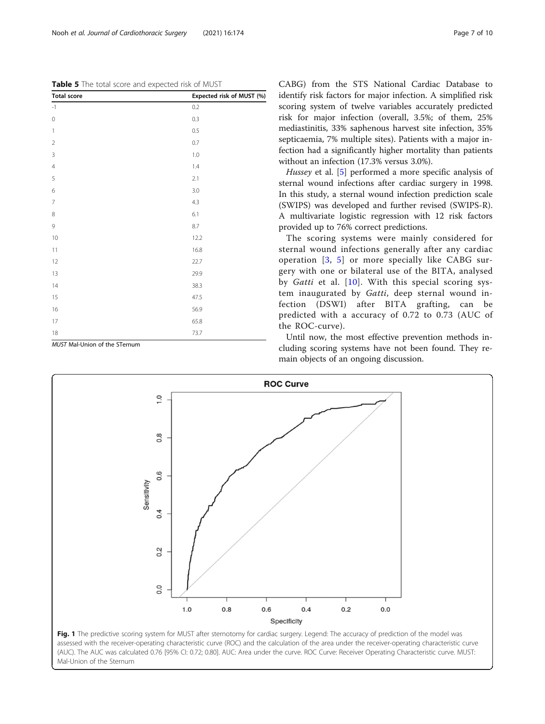<span id="page-6-0"></span>Table 5 The total score and expected risk of MUST

| <b>Total score</b>                      | Expected risk of MUST (%) |
|-----------------------------------------|---------------------------|
| $\mathbin{\mathop{\text{--}}\nolimits}$ | 0.2                       |
| $\boldsymbol{0}$                        | 0.3                       |
| $\mathbf{1}$                            | 0.5                       |
| $\sqrt{2}$                              | 0.7                       |
| 3                                       | 1.0                       |
| $\overline{4}$                          | 1.4                       |
| 5                                       | 2.1                       |
| 6                                       | $3.0\,$                   |
| $\overline{7}$                          | 4.3                       |
| 8                                       | 6.1                       |
| 9                                       | 8.7                       |
| $10$                                    | 12.2                      |
| 11                                      | 16.8                      |
| 12                                      | 22.7                      |
| 13                                      | 29.9                      |
| 14                                      | 38.3                      |
| 15                                      | 47.5                      |
| 16                                      | 56.9                      |
| $17\,$                                  | 65.8                      |
| $18\,$                                  | 73.7                      |

MUST Mal-Union of the STernum

CABG) from the STS National Cardiac Database to identify risk factors for major infection. A simplified risk scoring system of twelve variables accurately predicted risk for major infection (overall, 3.5%; of them, 25% mediastinitis, 33% saphenous harvest site infection, 35% septicaemia, 7% multiple sites). Patients with a major infection had a significantly higher mortality than patients without an infection (17.3% versus 3.0%).

Hussey et al. [\[5](#page-9-0)] performed a more specific analysis of sternal wound infections after cardiac surgery in 1998. In this study, a sternal wound infection prediction scale (SWIPS) was developed and further revised (SWIPS-R). A multivariate logistic regression with 12 risk factors provided up to 76% correct predictions.

The scoring systems were mainly considered for sternal wound infections generally after any cardiac operation  $\begin{bmatrix} 3, 5 \end{bmatrix}$  $\begin{bmatrix} 3, 5 \end{bmatrix}$  $\begin{bmatrix} 3, 5 \end{bmatrix}$  $\begin{bmatrix} 3, 5 \end{bmatrix}$  $\begin{bmatrix} 3, 5 \end{bmatrix}$  or more specially like CABG surgery with one or bilateral use of the BITA, analysed by Gatti et al. [[10\]](#page-9-0). With this special scoring system inaugurated by Gatti, deep sternal wound infection (DSWI) after BITA grafting, can be predicted with a accuracy of 0.72 to 0.73 (AUC of the ROC-curve).

Until now, the most effective prevention methods including scoring systems have not been found. They remain objects of an ongoing discussion.



Fig. 1 The predictive scoring system for MUST after sternotomy for cardiac surgery. Legend: The accuracy of prediction of the model was assessed with the receiver-operating characteristic curve (ROC) and the calculation of the area under the receiver-operating characteristic curve (AUC). The AUC was calculated 0.76 [95% CI: 0.72; 0.80]. AUC: Area under the curve. ROC Curve: Receiver Operating Characteristic curve. MUST: Mal-Union of the Sternum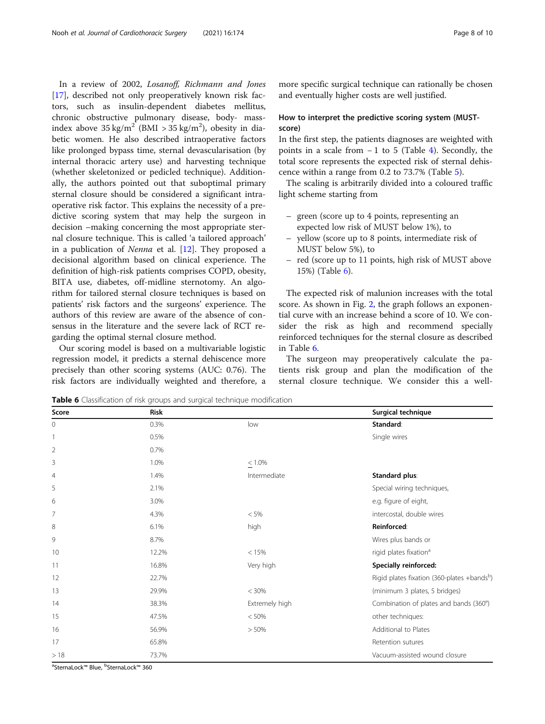In a review of 2002, Losanoff, Richmann and Jones [[17\]](#page-9-0), described not only preoperatively known risk factors, such as insulin-dependent diabetes mellitus, chronic obstructive pulmonary disease, body- massindex above  $35 \text{ kg/m}^2$  (BMI >  $35 \text{ kg/m}^2$ ), obesity in diabetic women. He also described intraoperative factors like prolonged bypass time, sternal devascularisation (by internal thoracic artery use) and harvesting technique (whether skeletonized or pedicled technique). Additionally, the authors pointed out that suboptimal primary sternal closure should be considered a significant intraoperative risk factor. This explains the necessity of a predictive scoring system that may help the surgeon in decision –making concerning the most appropriate sternal closure technique. This is called 'a tailored approach' in a publication of Nenna et al. [[12\]](#page-9-0). They proposed a decisional algorithm based on clinical experience. The definition of high-risk patients comprises COPD, obesity, BITA use, diabetes, off-midline sternotomy. An algorithm for tailored sternal closure techniques is based on patients' risk factors and the surgeons' experience. The authors of this review are aware of the absence of consensus in the literature and the severe lack of RCT regarding the optimal sternal closure method.

Our scoring model is based on a multivariable logistic regression model, it predicts a sternal dehiscence more precisely than other scoring systems (AUC: 0.76). The risk factors are individually weighted and therefore, a more specific surgical technique can rationally be chosen and eventually higher costs are well justified.

# How to interpret the predictive scoring system (MUSTscore)

In the first step, the patients diagnoses are weighted with points in a scale from − 1 to 5 (Table [4\)](#page-5-0). Secondly, the total score represents the expected risk of sternal dehiscence within a range from 0.2 to 73.7% (Table [5\)](#page-6-0).

The scaling is arbitrarily divided into a coloured traffic light scheme starting from

- green (score up to 4 points, representing an expected low risk of MUST below 1%), to
- yellow (score up to 8 points, intermediate risk of MUST below 5%), to
- red (score up to 11 points, high risk of MUST above 15%) (Table 6).

The expected risk of malunion increases with the total score. As shown in Fig. [2](#page-8-0), the graph follows an exponential curve with an increase behind a score of 10. We consider the risk as high and recommend specially reinforced techniques for the sternal closure as described in Table 6.

The surgeon may preoperatively calculate the patients risk group and plan the modification of the sternal closure technique. We consider this a well-

Table 6 Classification of risk groups and surgical technique modification

 $0.3\%$   $0.3\%$  low  $0.3\%$ 1 1 0.5% Single wires and the U.S. Single wires and the U.S. Single wires are the U.S. Single wires 2 0.7%  $3 \times 1.0\%$   $< 1.0\%$ 4 1.4% 1.4% Intermediate Standard plus: 5 2.1% Special wiring techniques, 6 3.0% e.g. figure of eight, 7 4.3% < 5% intercostal, double wires 8 6.1% high Re**inforced:** 6.1% high Reinforced: Reinforced: Reinforced: Reinforced: Reinforced: Reinforced: Reinforced: Reinforced: Reinforced: Reinforced: Reinforced: Reinforced: Reinforced: Reinforced: Reinforced: Reinfo 9 8.7% Wires plus bands or 10 12.2% and the contract of the contract of the contract of the contract of the contract of the contract of the contract of the contract of the contract of the contract of the contract of the contract of the contract of t 11 16.8% 16.8% Very high Specially reinforced: 13 29.9% < 30% (minimum 3 plates, 5 bridges) 15 47.5% < 50% other techniques: 16 56.9% > 50% Additional to Plates 17 65.8% **65.8% Retention sutures** > 18 73.7% Vacuum-assisted wound closure

ªSternaLock™ Blue, <sup>b</sup>SternaLock™ 360

| Score        | Risk  |                | Surgical technique                         |
|--------------|-------|----------------|--------------------------------------------|
| $\mathbf{0}$ | 0.3%  | low            | Standard:                                  |
|              | 0.5%  |                | Single wires                               |
| 2            | 0.7%  |                |                                            |
| 3            | 1.0%  | $\leq 1.0\%$   |                                            |
| 4            | 1.4%  | Intermediate   | Standard plus:                             |
| 5            | 2.1%  |                | Special wiring techniques,                 |
| 6            | 3.0%  |                | e.g. figure of eight,                      |
| 7            | 4.3%  | $< 5\%$        | intercostal, double wires                  |
| 8            | 6.1%  | high           | Reinforced:                                |
| 9            | 8.7%  |                | Wires plus bands or                        |
| 10           | 12.2% | < 15%          | rigid plates fixation <sup>a</sup>         |
| 11           | 16.8% | Very high      | Specially reinforced:                      |
| 12           | 22.7% |                | Rigid plates fixation (360-plates +bandsb) |
| 13           | 29.9% | < 30%          | (minimum 3 plates, 5 bridges)              |
| 14           | 38.3% | Extremely high | Combination of plates and bands (360°)     |
| 15           | 47.5% | < 50%          | other techniques:                          |
| 16           | 56.9% | > 50%          | Additional to Plates                       |
| 17           | 65.8% |                | Retention sutures                          |
|              |       |                |                                            |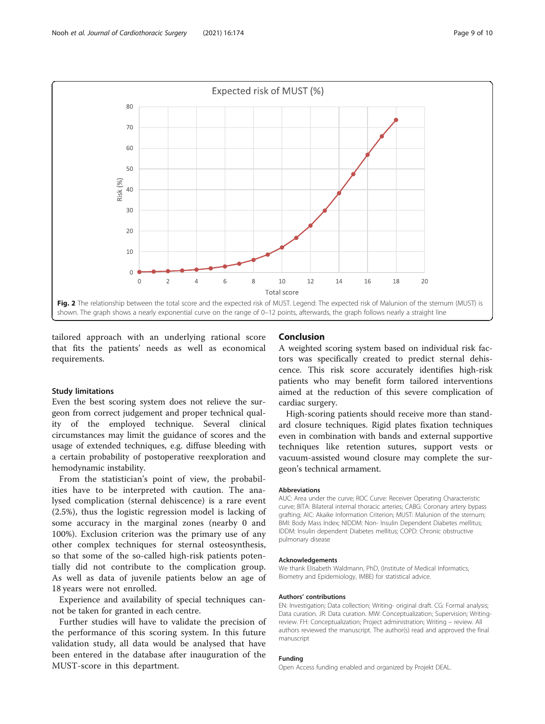<span id="page-8-0"></span>

tailored approach with an underlying rational score that fits the patients' needs as well as economical requirements.

### Study limitations

Even the best scoring system does not relieve the surgeon from correct judgement and proper technical quality of the employed technique. Several clinical circumstances may limit the guidance of scores and the usage of extended techniques, e.g. diffuse bleeding with a certain probability of postoperative reexploration and hemodynamic instability.

From the statistician's point of view, the probabilities have to be interpreted with caution. The analysed complication (sternal dehiscence) is a rare event (2.5%), thus the logistic regression model is lacking of some accuracy in the marginal zones (nearby 0 and 100%). Exclusion criterion was the primary use of any other complex techniques for sternal osteosynthesis, so that some of the so-called high-risk patients potentially did not contribute to the complication group. As well as data of juvenile patients below an age of 18 years were not enrolled.

Experience and availability of special techniques cannot be taken for granted in each centre.

Further studies will have to validate the precision of the performance of this scoring system. In this future validation study, all data would be analysed that have been entered in the database after inauguration of the MUST-score in this department.

### Conclusion

A weighted scoring system based on individual risk factors was specifically created to predict sternal dehiscence. This risk score accurately identifies high-risk patients who may benefit form tailored interventions aimed at the reduction of this severe complication of cardiac surgery.

High-scoring patients should receive more than standard closure techniques. Rigid plates fixation techniques even in combination with bands and external supportive techniques like retention sutures, support vests or vacuum-assisted wound closure may complete the surgeon's technical armament.

#### Abbreviations

AUC: Area under the curve; ROC Curve: Receiver Operating Characteristic curve; BITA: Bilateral internal thoracic arteries; CABG: Coronary artery bypass grafting; AIC: Akaike Information Criterion; MUST: Malunion of the sternum; BMI: Body Mass Index; NIDDM: Non- Insulin Dependent Diabetes mellitus; IDDM: Insulin dependent Diabetes mellitus; COPD: Chronic obstructive pulmonary disease

#### Acknowledgements

We thank Elisabeth Waldmann, PhD, (Institute of Medical Informatics, Biometry and Epidemiology, IMBE) for statistical advice.

#### Authors' contributions

EN: Investigation; Data collection; Writing- original draft. CG: Formal analysis; Data curation. JR: Data curation. MW: Conceptualization; Supervision; Writingreview. FH: Conceptualization; Project administration; Writing – review. All authors reviewed the manuscript. The author(s) read and approved the final manuscript

#### Funding

Open Access funding enabled and organized by Projekt DEAL.